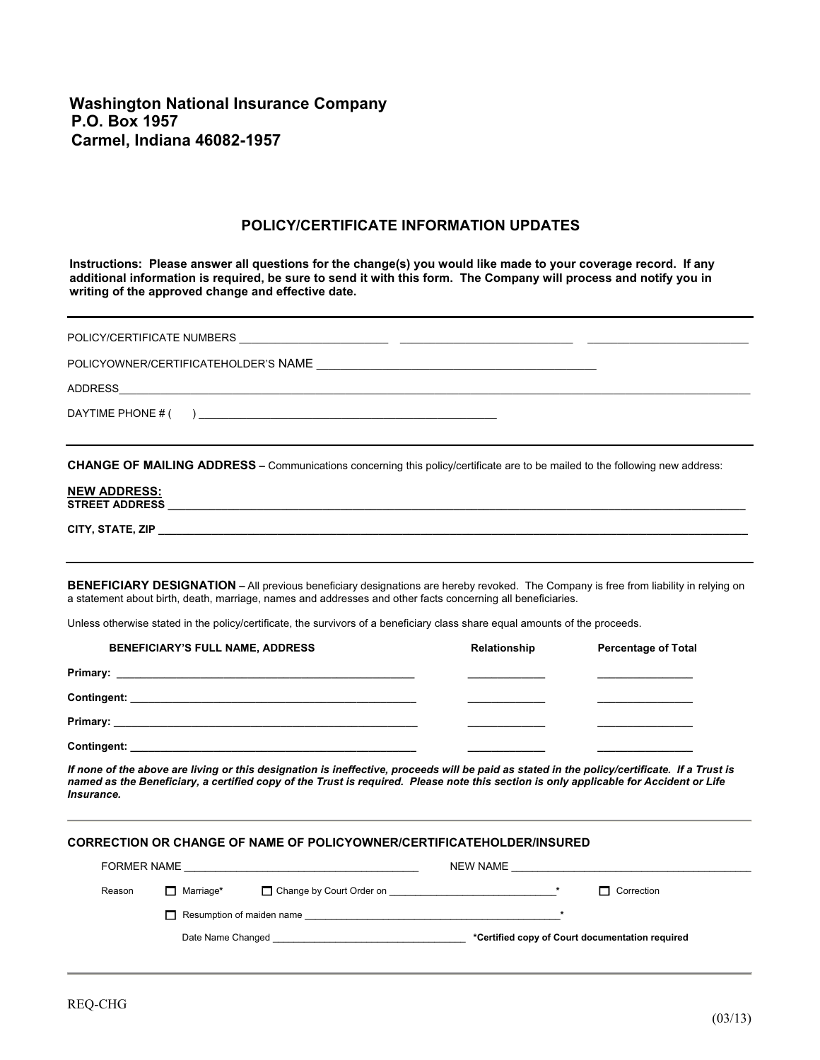**Washington National Insurance Company P.O. Box 1957 Carmel, Indiana 46082-1957** 

## **POLICY/CERTIFICATE INFORMATION UPDATES**

**Instructions: Please answer all questions for the change(s) you would like made to your coverage record. If any additional information is required, be sure to send it with this form. The Company will process and notify you in writing of the approved change and effective date.** 

| <b>CHANGE OF MAILING ADDRESS</b> - Communications concerning this policy/certificate are to be mailed to the following new address:<br><b>NEW ADDRESS:</b> |
|------------------------------------------------------------------------------------------------------------------------------------------------------------|
| BENEFICIARY DESIGNATION - All previous beneficiary designations are hereby revoked. The Company is free from liability in relying on                       |

Unless otherwise stated in the policy/certificate, the survivors of a beneficiary class share equal amounts of the proceeds.

a statement about birth, death, marriage, names and addresses and other facts concerning all beneficiaries.

| <b>BENEFICIARY'S FULL NAME, ADDRESS</b>                                                                         | Relationship | <b>Percentage of Total</b> |
|-----------------------------------------------------------------------------------------------------------------|--------------|----------------------------|
|                                                                                                                 |              |                            |
|                                                                                                                 |              |                            |
| Primary: 2008 2009 2012 2022 2023 2024 2024 2022 2023 2024 2022 2023 2024 2022 2023 2024 2022 2023 2024 2022 20 |              |                            |
|                                                                                                                 |              |                            |

*If none of the above are living or this designation is ineffective, proceeds will be paid as stated in the policy/certificate. If a Trust is named as the Beneficiary, a certified copy of the Trust is required. Please note this section is only applicable for Accident or Life Insurance.*

## **CORRECTION OR CHANGE OF NAME OF POLICYOWNER/CERTIFICATEHOLDER/INSURED**

| <b>FORMER NAME</b> |                                  |                          | NEW NAME |                                                 |
|--------------------|----------------------------------|--------------------------|----------|-------------------------------------------------|
| Reason             | $\Box$ Marriage*                 | Change by Court Order on |          | $\Box$ Correction                               |
|                    | $\Box$ Resumption of maiden name |                          |          |                                                 |
|                    | Date Name Changed                |                          |          | *Certified copy of Court documentation required |